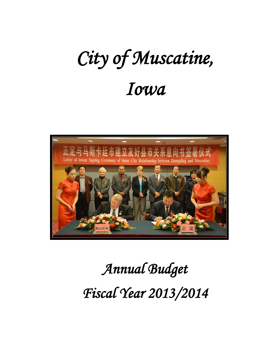# *City of Muscatine, Iowa*



# *Annual Budget Fiscal Year 2013/2014*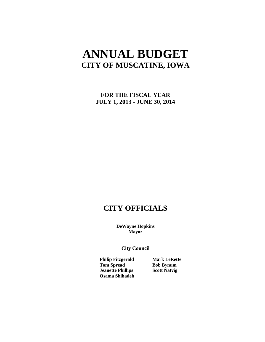# **ANNUAL BUDGET CITY OF MUSCATINE, IOWA**

**FOR THE FISCAL YEAR JULY 1, 2013 - JUNE 30, 2014**

# **CITY OFFICIALS**

**DeWayne Hopkins Mayor**

**City Council** 

**Philip Fitzgerald Mark LeRette Tom Spread Bob Bynum Jeanette Phillips Scott Natvig Osama Shihadeh**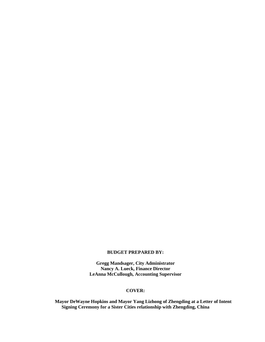#### **BUDGET PREPARED BY:**

**Gregg Mandsager, City Administrator Nancy A. Lueck, Finance Director LeAnna McCullough, Accounting Supervisor**

### **COVER:**

**Mayor DeWayne Hopkins and Mayor Yang Lizhong of Zhengding at a Letter of Intent Signing Ceremony for a Sister Cities relationship with Zhengding, China**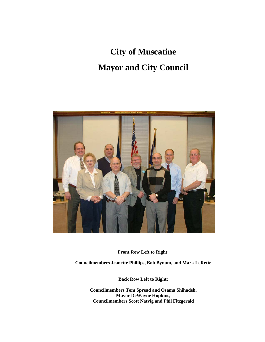# **City of Muscatine Mayor and City Council**



**Front Row Left to Right:**

**Councilmembers Jeanette Phillips, Bob Bynum, and Mark LeRette** 

**Back Row Left to Right:**

**Councilmembers Tom Spread and Osama Shihadeh, Mayor DeWayne Hopkins, Councilmembers Scott Natvig and Phil Fitzgerald**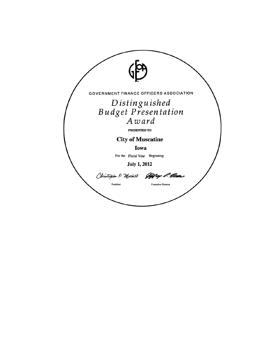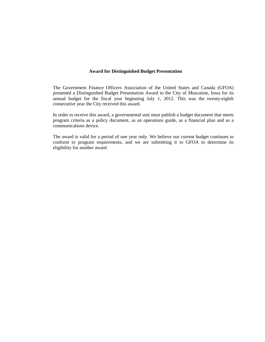#### **Award for Distinguished Budget Presentation**

The Government Finance Officers Association of the United States and Canada (GFOA) presented a Distinguished Budget Presentation Award to the City of Muscatine, Iowa for its annual budget for the fiscal year beginning July 1, 2012. This was the twenty-eighth consecutive year the City received this award.

In order to receive this award, a governmental unit must publish a budget document that meets program criteria as a policy document, as an operations guide, as a financial plan and as a communications device.

The award is valid for a period of one year only. We believe our current budget continues to conform to program requirements, and we are submitting it to GFOA to determine its eligibility for another award.